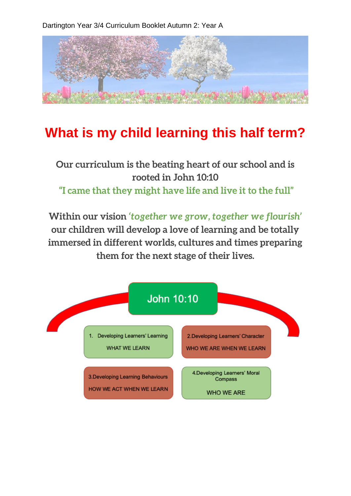Dartington Year 3/4 Curriculum Booklet Autumn 2: Year A



## **What is my child learning this half term?**

## **Our curriculum is the beating heart of our school and is rooted in John 10:10 "I came that they might have life and live it to the full"**

**Within our vision** *'together we grow, together we flourish'*  **our children will develop a love of learning and be totally immersed in different worlds, cultures and times preparing them for the next stage of their lives.**